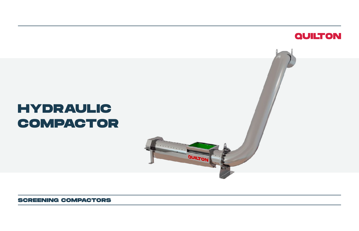

# **HYDRAULIC COMPACTOR**

QUILTON

**SCREENING COMPACTORS**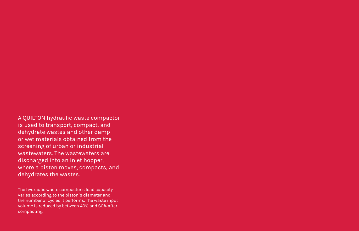A QUILTON hydraulic waste compactor is used to transport, compact, and dehydrate wastes and other damp or wet materials obtained from the screening of urban or industrial wastewaters. The wastewaters are discharged into an inlet hopper, where a piston moves, compacts, and dehydrates the wastes.

The hydraulic waste compactor's load capacity varies according to the piston`s diameter and the number of cycles it performs. The waste input volume is reduced by between 40% and 60% after compacting.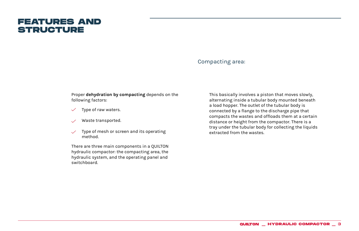# **FEATURES AND STRUCTURE**

#### Compacting area:

Proper **dehydration by compacting** depends on the following factors:

- Type of raw waters.  $\checkmark$
- Waste transported.
- Type of mesh or screen and its operating method.

There are three main components in a QUILTON hydraulic compactor: the compacting area, the hydraulic system, and the operating panel and switchboard.

This basically involves a piston that moves slowly, alternating inside a tubular body mounted beneath a load hopper. The outlet of the tubular body is connected by a flange to the discharge pipe that compacts the wastes and offloads them at a certain distance or height from the compactor. There is a tray under the tubular body for collecting the liquids extracted from the wastes.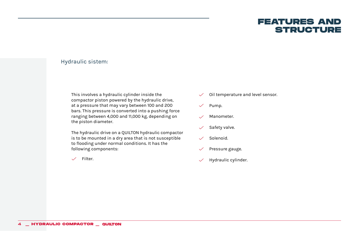## **FEATURES AND STRUCTURE**

### Hydraulic sistem:

This involves a hydraulic cylinder inside the compactor piston powered by the hydraulic drive, at a pressure that may vary between 100 and 200 bars. This pressure is converted into a pushing force ranging between 4,000 and 11,000 kg, depending on the piston diameter.

The hydraulic drive on a QUILTON hydraulic compactor is to be mounted in a dry area that is not susceptible to flooding under normal conditions. It has the following components:

 $\checkmark$ Filter.

- Oil temperature and level sensor.  $\checkmark$
- Pump.  $\checkmark$
- Manometer.  $\checkmark$
- Safety valve.  $\checkmark$
- Solenoid.  $\checkmark$
- Pressure gauge.  $\checkmark$
- Hydraulic cylinder. $\checkmark$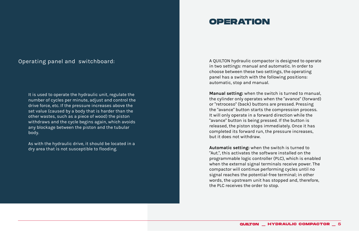#### Operating panel and switchboard:

It is used to operate the hydraulic unit, regulate the number of cycles per minute, adjust and control the drive force, etc. If the pressure increases above the set value (caused by a body that is harder than the other wastes, such as a piece of wood) the piston withdraws and the cycle begins again, which avoids any blockage between the piston and the tubular body.

As with the hydraulic drive, it should be located in a dry area that is not susceptible to flooding.

# **OPERATION**

A QUILTON hydraulic compactor is designed to operate in two settings: manual and automatic. In order to choose between these two settings, the operating panel has a switch with the following positions: automatic, stop and manual.

**Manual setting:** when the switch is turned to manual, the cylinder only operates when the "avance" (forward) or "retroceso" (back) buttons are pressed. Pressing the "avance" button starts the compression process. It will only operate in a forward direction while the "avance" button is being pressed. If the button is released, the piston stops immediately. Once it has completed its forward run, the pressure increases, but it does not withdraw.

**Automatic setting:** when the switch is turned to "Aut.", this activates the software installed on the programmable logic controller (PLC), which is enabled when the external signal terminals receive power. The compactor will continue performing cycles until no signal reaches the potential-free terminal; in other words, the upstream unit has stopped and, therefore, the PLC receives the order to stop.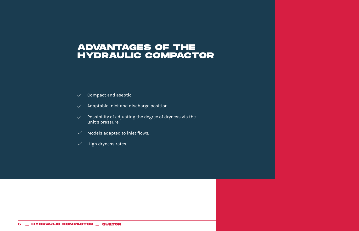# **ADVANTAGES OF THE HYDRAULIC COMPACTOR**

- $\checkmark$  Compact and aseptic.
- $\vee$  Adaptable inlet and discharge position.
- $\vee$  Possibility of adjusting the degree of dryness via the unit's pressure.
- Models adapted to inlet flows.
- $\checkmark$  High dryness rates.